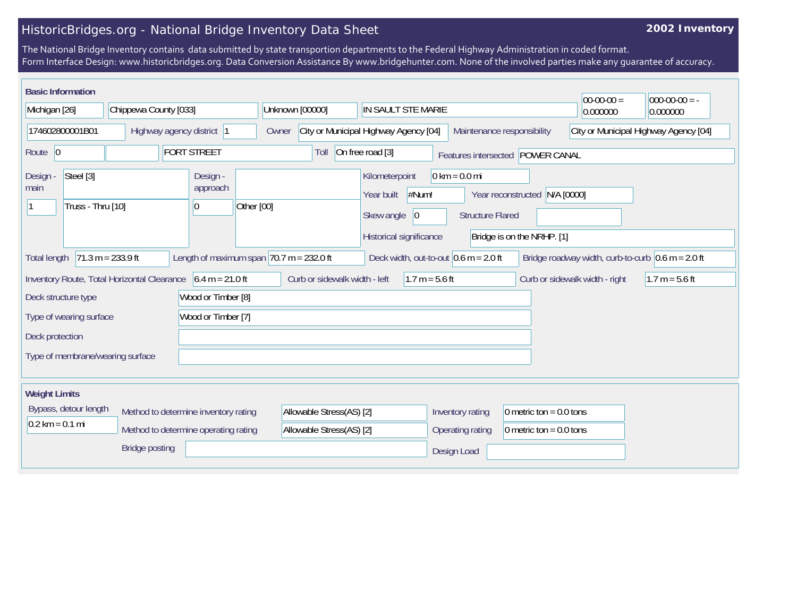## HistoricBridges.org - National Bridge Inventory Data Sheet

## **2002 Inventory**

The National Bridge Inventory contains data submitted by state transportion departments to the Federal Highway Administration in coded format. Form Interface Design: www.historicbridges.org. Data Conversion Assistance By www.bridgehunter.com. None of the involved parties make any guarantee of accuracy.

| <b>Basic Information</b><br>Michigan [26]                                                                                                                                                   | Chippewa County [033]                                                                                                     | Unknown [00000]                                      | IN SAULT STE MARIE                                                                                                                                 | $ 00-00-00 $<br>$000-00-00 = -$<br>0.000000<br>0.000000     |  |  |  |
|---------------------------------------------------------------------------------------------------------------------------------------------------------------------------------------------|---------------------------------------------------------------------------------------------------------------------------|------------------------------------------------------|----------------------------------------------------------------------------------------------------------------------------------------------------|-------------------------------------------------------------|--|--|--|
| 174602800001B01                                                                                                                                                                             | Highway agency district 1                                                                                                 | Owner                                                | City or Municipal Highway Agency [04]<br>Maintenance responsibility                                                                                | City or Municipal Highway Agency [04]                       |  |  |  |
| Route 0                                                                                                                                                                                     | <b>FORT STREET</b>                                                                                                        | Toll                                                 | On free road [3]<br>Features intersected POWER CANAL                                                                                               |                                                             |  |  |  |
| Steel [3]<br>Design -<br>main<br>Truss - Thru [10]                                                                                                                                          | Design -<br>approach<br>0                                                                                                 | Other [00]                                           | $0 \text{ km} = 0.0 \text{ mi}$<br>Kilometerpoint<br>#Num!<br>Year built<br> 0<br>Skew angle<br><b>Structure Flared</b><br>Historical significance | Year reconstructed N/A [0000]<br>Bridge is on the NRHP. [1] |  |  |  |
| $71.3 m = 233.9 ft$<br>Length of maximum span $ 70.7 m = 232.0 ft$<br>Deck width, out-to-out $0.6$ m = 2.0 ft<br>Bridge roadway width, curb-to-curb $0.6$ m = 2.0 ft<br><b>Total length</b> |                                                                                                                           |                                                      |                                                                                                                                                    |                                                             |  |  |  |
| Deck structure type<br>Type of wearing surface<br>Deck protection<br>Type of membrane/wearing surface                                                                                       | Inventory Route, Total Horizontal Clearance $6.4 \text{ m} = 21.0 \text{ ft}$<br>Wood or Timber [8]<br>Wood or Timber [7] | Curb or sidewalk width - left                        | $1.7 m = 5.6 ft$                                                                                                                                   | Curb or sidewalk width - right<br>$1.7 m = 5.6 ft$          |  |  |  |
| <b>Weight Limits</b>                                                                                                                                                                        |                                                                                                                           |                                                      |                                                                                                                                                    |                                                             |  |  |  |
| Bypass, detour length<br>$0.2 \text{ km} = 0.1 \text{ mi}$                                                                                                                                  | Method to determine inventory rating<br>Method to determine operating rating<br><b>Bridge posting</b>                     | Allowable Stress(AS) [2]<br>Allowable Stress(AS) [2] | Inventory rating<br>Operating rating<br>Design Load                                                                                                | 0 metric ton = $0.0$ tons<br>0 metric ton = $0.0$ tons      |  |  |  |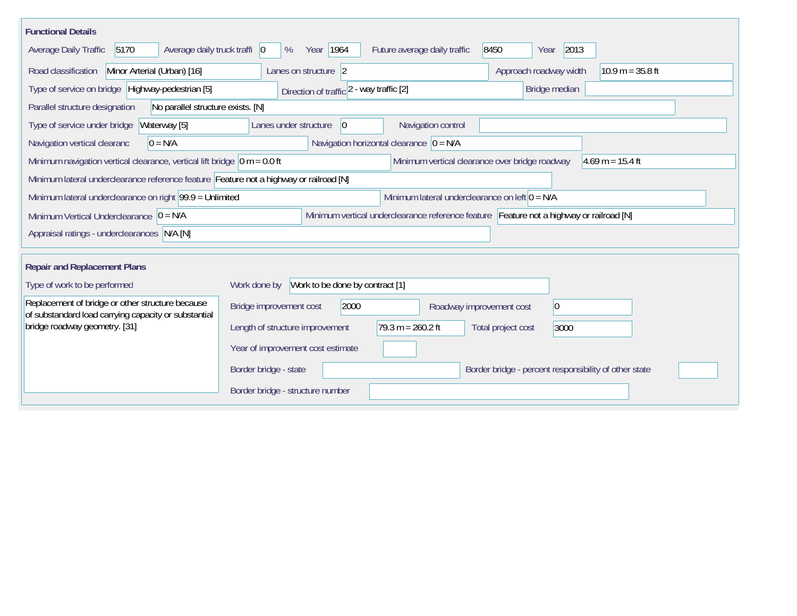| <b>Functional Details</b>                                                                                                             |                                                                                                                |                                                |                                                       |                    |  |  |
|---------------------------------------------------------------------------------------------------------------------------------------|----------------------------------------------------------------------------------------------------------------|------------------------------------------------|-------------------------------------------------------|--------------------|--|--|
| Average daily truck traffi 0<br>5170<br>Average Daily Traffic                                                                         | Year 1964<br>%                                                                                                 | 8450<br>Future average daily traffic           | 2013<br>Year                                          |                    |  |  |
| Minor Arterial (Urban) [16]<br>Road classification                                                                                    | Lanes on structure 2                                                                                           |                                                | Approach roadway width                                | $10.9 m = 35.8 ft$ |  |  |
| Type of service on bridge Highway-pedestrian [5]                                                                                      | Direction of traffic 2 - way traffic [2]                                                                       |                                                | Bridge median                                         |                    |  |  |
| Parallel structure designation<br>No parallel structure exists. [N]                                                                   |                                                                                                                |                                                |                                                       |                    |  |  |
| Type of service under bridge<br>Waterway [5]                                                                                          | Lanes under structure<br>$ 0\rangle$                                                                           | Navigation control                             |                                                       |                    |  |  |
| Navigation vertical clearanc<br>$0 = N/A$                                                                                             | Navigation horizontal clearance $ 0 = N/A$                                                                     |                                                |                                                       |                    |  |  |
| Minimum navigation vertical clearance, vertical lift bridge $\vert$ 0 m = 0.0 ft                                                      |                                                                                                                | Minimum vertical clearance over bridge roadway |                                                       | $4.69$ m = 15.4 ft |  |  |
| Minimum lateral underclearance reference feature Feature not a highway or railroad [N]                                                |                                                                                                                |                                                |                                                       |                    |  |  |
|                                                                                                                                       | Minimum lateral underclearance on right $99.9 =$ Unlimited<br>Minimum lateral underclearance on left $0 = N/A$ |                                                |                                                       |                    |  |  |
| Minimum vertical underclearance reference feature Feature not a highway or railroad [N]<br>Minimum Vertical Underclearance $ 0 = N/A$ |                                                                                                                |                                                |                                                       |                    |  |  |
| Appraisal ratings - underclearances N/A [N]                                                                                           |                                                                                                                |                                                |                                                       |                    |  |  |
| <b>Repair and Replacement Plans</b>                                                                                                   |                                                                                                                |                                                |                                                       |                    |  |  |
| Type of work to be performed                                                                                                          | Work done by Work to be done by contract [1]                                                                   |                                                |                                                       |                    |  |  |
| Replacement of bridge or other structure because<br>of substandard load carrying capacity or substantial                              | Bridge improvement cost<br>2000                                                                                | Roadway improvement cost                       | $ 0\rangle$                                           |                    |  |  |
| bridge roadway geometry. [31]                                                                                                         | $79.3 m = 260.2 ft$<br>Length of structure improvement                                                         |                                                | Total project cost<br>3000                            |                    |  |  |
|                                                                                                                                       | Year of improvement cost estimate                                                                              |                                                |                                                       |                    |  |  |
|                                                                                                                                       | Border bridge - state                                                                                          |                                                | Border bridge - percent responsibility of other state |                    |  |  |
|                                                                                                                                       | Border bridge - structure number                                                                               |                                                |                                                       |                    |  |  |